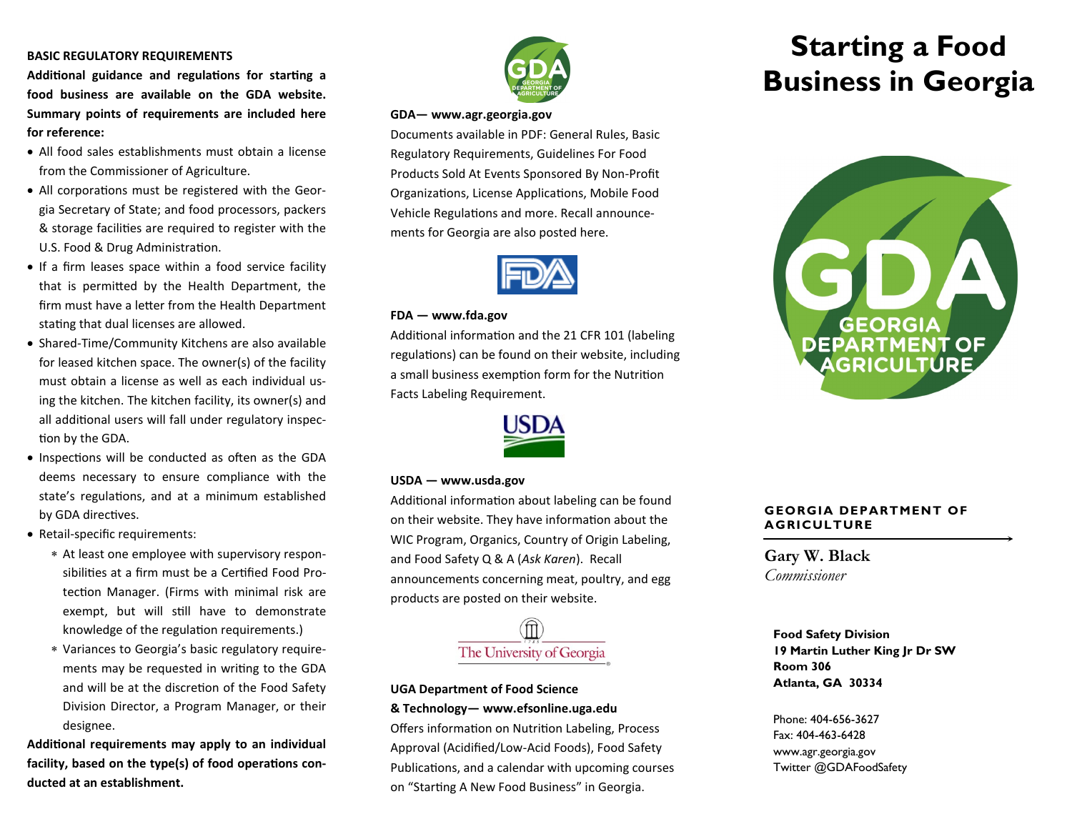# **BASIC REGULATORY REQUIREMENTS**

**Additional guidance and regulations for starting a food business are available on the GDA website. Summary points of requirements are included here for reference:**

- All food sales establishments must obtain a license from the Commissioner of Agriculture.
- All corporations must be registered with the Georgia Secretary of State; and food processors, packers & storage facilities are required to register with the U.S. Food & Drug Administration.
- If a firm leases space within a food service facility that is permitted by the Health Department, the firm must have a letter from the Health Department stating that dual licenses are allowed.
- Shared-Time/Community Kitchens are also available for leased kitchen space. The owner(s) of the facility must obtain a license as well as each individual using the kitchen. The kitchen facility, its owner(s) and all additional users will fall under regulatory inspection by the GDA.
- Inspections will be conducted as often as the GDA deems necessary to ensure compliance with the state's regulations, and at a minimum established by GDA directives.
- Retail-specific requirements:
	- At least one employee with supervisory responsibilities at a firm must be a Certified Food Protection Manager. (Firms with minimal risk are exempt, but will still have to demonstrate knowledge of the regulation requirements.)
	- Variances to Georgia's basic regulatory requirements may be requested in writing to the GDA and will be at the discretion of the Food Safety Division Director, a Program Manager, or their designee.

**Additional requirements may apply to an individual facility, based on the type(s) of food operations conducted at an establishment.** 



#### **GDA— www.agr.georgia.gov**

Documents available in PDF: General Rules, Basic Regulatory Requirements, Guidelines For Food Products Sold At Events Sponsored By Non-Profit Organizations, License Applications, Mobile Food Vehicle Regulations and more. Recall announcements for Georgia are also posted here.



### **FDA — www.fda.gov**

Additional information and the 21 CFR 101 (labeling regulations) can be found on their website, including a small business exemption form for the Nutrition Facts Labeling Requirement.



#### **USDA — www.usda.gov**

Additional information about labeling can be found on their website. They have information about the WIC Program, Organics, Country of Origin Labeling, and Food Safety Q & A (*Ask Karen*). Recall announcements concerning meat, poultry, and egg products are posted on their website.



# **UGA Department of Food Science**

**& Technology— www.efsonline.uga.edu**

Offers information on Nutrition Labeling, Process Approval (Acidified/Low-Acid Foods), Food Safety Publications, and a calendar with upcoming courses on "Starting A New Food Business" in Georgia.

# **Starting a Food Business in Georgia**



# **GEORGIA DEPARTMENT OF AGRICULTURE**

**Gary W. Black** *Commissioner*

**Food Safety Division 19 Martin Luther King Jr Dr SW Room 306 Atlanta, GA 30334** 

Phone: 404-656-3627 Fax: 404-463-6428 www.agr.georgia.gov Twitter @GDAFoodSafety